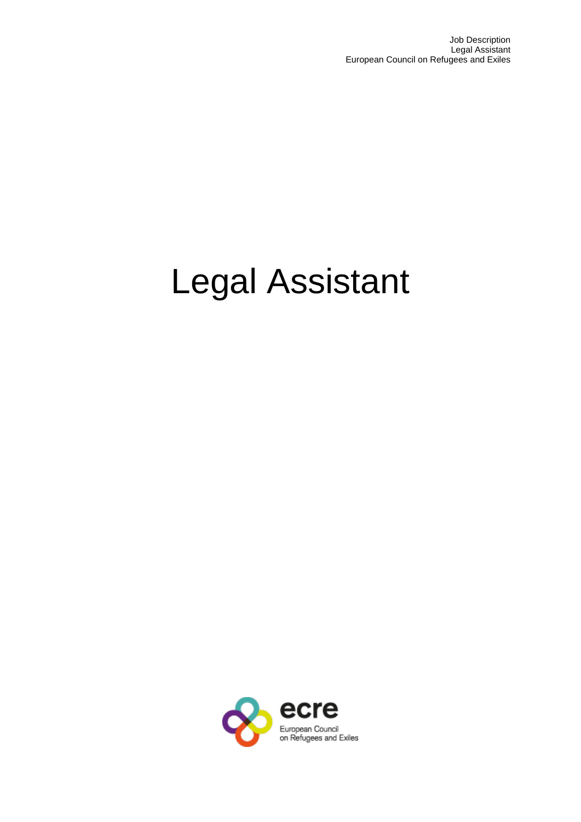# Legal Assistant

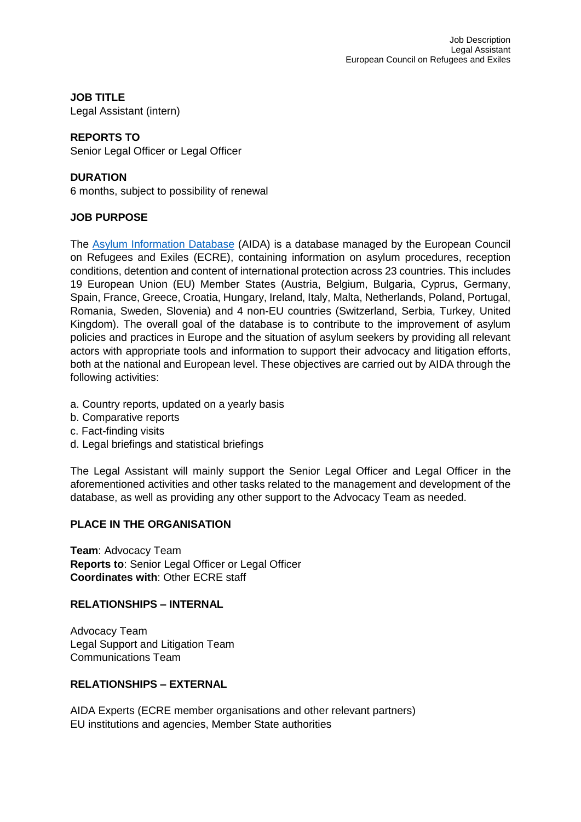**JOB TITLE**

Legal Assistant (intern)

# **REPORTS TO**

Senior Legal Officer or Legal Officer

### **DURATION**

6 months, subject to possibility of renewal

## **JOB PURPOSE**

The [Asylum Information Database](https://asylumineurope.org/) (AIDA) is a database managed by the European Council on Refugees and Exiles (ECRE), containing information on asylum procedures, reception conditions, detention and content of international protection across 23 countries. This includes 19 European Union (EU) Member States (Austria, Belgium, Bulgaria, Cyprus, Germany, Spain, France, Greece, Croatia, Hungary, Ireland, Italy, Malta, Netherlands, Poland, Portugal, Romania, Sweden, Slovenia) and 4 non-EU countries (Switzerland, Serbia, Turkey, United Kingdom). The overall goal of the database is to contribute to the improvement of asylum policies and practices in Europe and the situation of asylum seekers by providing all relevant actors with appropriate tools and information to support their advocacy and litigation efforts, both at the national and European level. These objectives are carried out by AIDA through the following activities:

- a. Country reports, updated on a yearly basis
- b. Comparative reports
- c. Fact-finding visits
- d. Legal briefings and statistical briefings

The Legal Assistant will mainly support the Senior Legal Officer and Legal Officer in the aforementioned activities and other tasks related to the management and development of the database, as well as providing any other support to the Advocacy Team as needed.

# **PLACE IN THE ORGANISATION**

**Team**: Advocacy Team **Reports to**: Senior Legal Officer or Legal Officer **Coordinates with**: Other ECRE staff

# **RELATIONSHIPS – INTERNAL**

Advocacy Team Legal Support and Litigation Team Communications Team

# **RELATIONSHIPS – EXTERNAL**

AIDA Experts (ECRE member organisations and other relevant partners) EU institutions and agencies, Member State authorities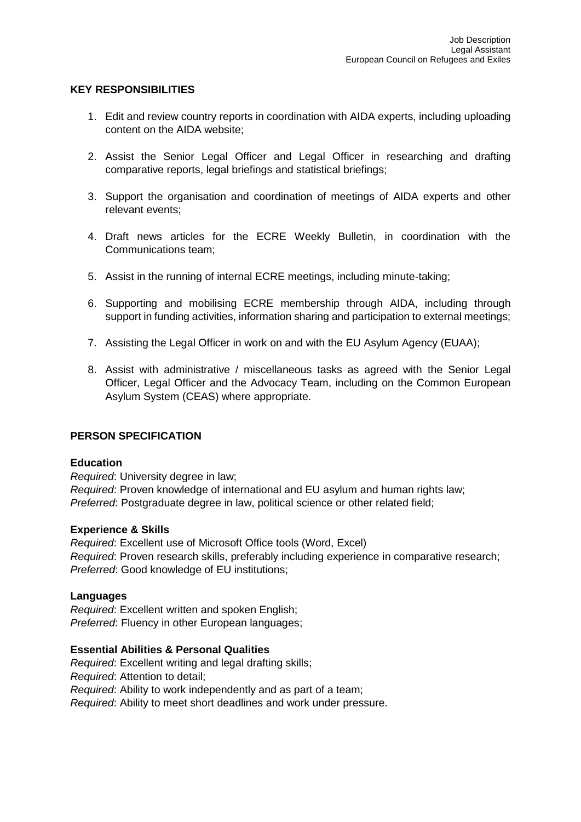#### **KEY RESPONSIBILITIES**

- 1. Edit and review country reports in coordination with AIDA experts, including uploading content on the AIDA website;
- 2. Assist the Senior Legal Officer and Legal Officer in researching and drafting comparative reports, legal briefings and statistical briefings;
- 3. Support the organisation and coordination of meetings of AIDA experts and other relevant events;
- 4. Draft news articles for the ECRE Weekly Bulletin, in coordination with the Communications team;
- 5. Assist in the running of internal ECRE meetings, including minute-taking;
- 6. Supporting and mobilising ECRE membership through AIDA, including through support in funding activities, information sharing and participation to external meetings;
- 7. Assisting the Legal Officer in work on and with the EU Asylum Agency (EUAA);
- 8. Assist with administrative / miscellaneous tasks as agreed with the Senior Legal Officer, Legal Officer and the Advocacy Team, including on the Common European Asylum System (CEAS) where appropriate.

#### **PERSON SPECIFICATION**

#### **Education**

*Required*: University degree in law; *Required*: Proven knowledge of international and EU asylum and human rights law; *Preferred*: Postgraduate degree in law, political science or other related field;

#### **Experience & Skills**

*Required*: Excellent use of Microsoft Office tools (Word, Excel) *Required*: Proven research skills, preferably including experience in comparative research; *Preferred*: Good knowledge of EU institutions;

#### **Languages**

*Required*: Excellent written and spoken English; *Preferred*: Fluency in other European languages;

#### **Essential Abilities & Personal Qualities**

*Required*: Excellent writing and legal drafting skills; *Required*: Attention to detail; *Required*: Ability to work independently and as part of a team; *Required*: Ability to meet short deadlines and work under pressure.